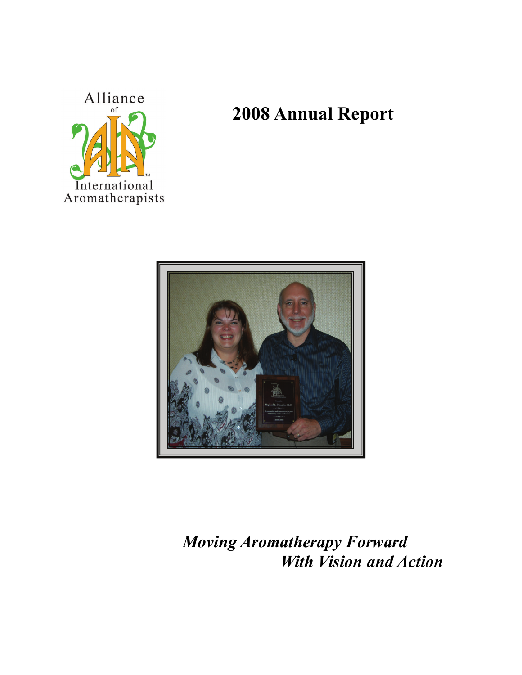

# **2008 Annual Report**



## *Moving Aromatherapy Forward With Vision and Action*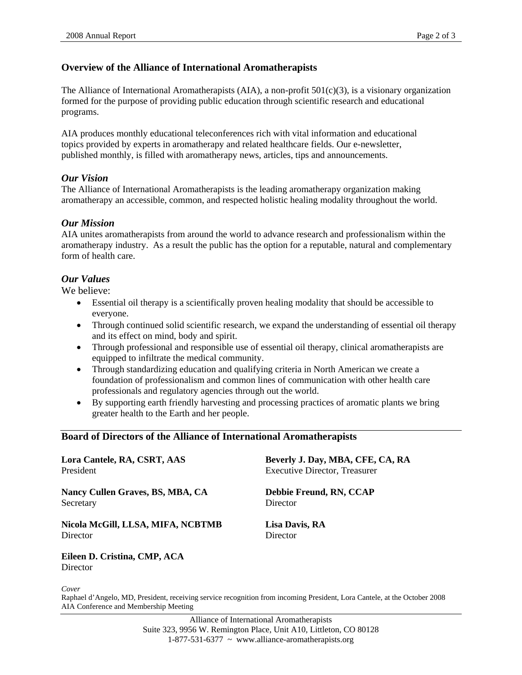#### **Overview of the Alliance of International Aromatherapists**

The Alliance of International Aromatherapists (AIA), a non-profit 501(c)(3), is a visionary organization formed for the purpose of providing public education through scientific research and educational programs.

AIA produces monthly educational teleconferences rich with vital information and educational topics provided by experts in aromatherapy and related healthcare fields. Our e-newsletter, published monthly, is filled with aromatherapy news, articles, tips and announcements.

#### *Our Vision*

The Alliance of International Aromatherapists is the leading aromatherapy organization making aromatherapy an accessible, common, and respected holistic healing modality throughout the world.

#### *Our Mission*

AIA unites aromatherapists from around the world to advance research and professionalism within the aromatherapy industry. As a result the public has the option for a reputable, natural and complementary form of health care.

#### *Our Values*

We believe:

- Essential oil therapy is a scientifically proven healing modality that should be accessible to everyone.
- Through continued solid scientific research, we expand the understanding of essential oil therapy and its effect on mind, body and spirit.
- Through professional and responsible use of essential oil therapy, clinical aromatherapists are equipped to infiltrate the medical community.
- Through standardizing education and qualifying criteria in North American we create a foundation of professionalism and common lines of communication with other health care professionals and regulatory agencies through out the world.
- By supporting earth friendly harvesting and processing practices of aromatic plants we bring greater health to the Earth and her people.

#### **Board of Directors of the Alliance of International Aromatherapists**

| Lora Cantele, RA, CSRT, AAS       | Beverly J. Day, MBA, CFE, CA, RA     |  |
|-----------------------------------|--------------------------------------|--|
| President                         | <b>Executive Director, Treasurer</b> |  |
| Nancy Cullen Graves, BS, MBA, CA  | Debbie Freund, RN, CCAP              |  |
| Secretary                         | Director                             |  |
| Nicola McGill, LLSA, MIFA, NCBTMB | Lisa Davis, RA                       |  |
| Director                          | Director                             |  |

**Eileen D. Cristina, CMP, ACA Director** 

*Cover* 

Raphael d'Angelo, MD, President, receiving service recognition from incoming President, Lora Cantele, at the October 2008 AIA Conference and Membership Meeting